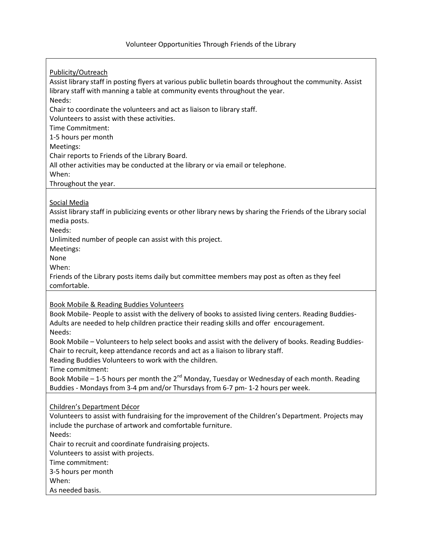Publicity/Outreach Assist library staff in posting flyers at various public bulletin boards throughout the community. Assist library staff with manning a table at community events throughout the year. Needs: Chair to coordinate the volunteers and act as liaison to library staff. Volunteers to assist with these activities. Time Commitment: 1-5 hours per month Meetings: Chair reports to Friends of the Library Board. All other activities may be conducted at the library or via email or telephone. When: Throughout the year. Social Media Assist library staff in publicizing events or other library news by sharing the Friends of the Library social media posts. Needs: Unlimited number of people can assist with this project. Meetings: None When: Friends of the Library posts items daily but committee members may post as often as they feel comfortable. Book Mobile & Reading Buddies Volunteers Book Mobile- People to assist with the delivery of books to assisted living centers. Reading Buddies-Adults are needed to help children practice their reading skills and offer encouragement. Needs: Book Mobile – Volunteers to help select books and assist with the delivery of books. Reading Buddies-Chair to recruit, keep attendance records and act as a liaison to library staff. Reading Buddies Volunteers to work with the children. Time commitment: Book Mobile – 1-5 hours per month the  $2^{nd}$  Monday, Tuesday or Wednesday of each month. Reading Buddies - Mondays from 3-4 pm and/or Thursdays from 6-7 pm- 1-2 hours per week. Children's Department Décor Volunteers to assist with fundraising for the improvement of the Children's Department. Projects may include the purchase of artwork and comfortable furniture. Needs: Chair to recruit and coordinate fundraising projects. Volunteers to assist with projects. Time commitment: 3-5 hours per month When: As needed basis.